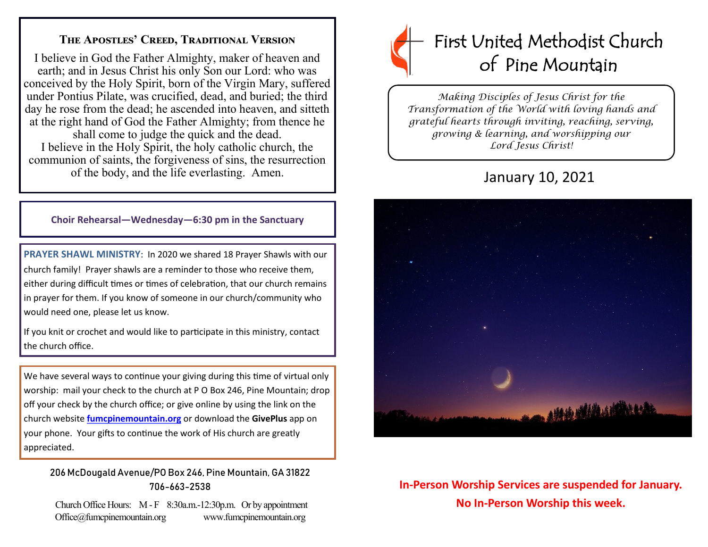### **The Apostles' Creed, Traditional Version**

I believe in God the Father Almighty, maker of heaven and earth; and in Jesus Christ his only Son our Lord: who was conceived by the Holy Spirit, born of the Virgin Mary, suffered under Pontius Pilate, was crucified, dead, and buried; the third day he rose from the dead; he ascended into heaven, and sitteth at the right hand of God the Father Almighty; from thence he shall come to judge the quick and the dead. I believe in the Holy Spirit, the holy catholic church, the communion of saints, the forgiveness of sins, the resurrection of the body, and the life everlasting. Amen.

#### **Choir Rehearsal—Wednesday—6:30 pm in the Sanctuary**

**PRAYER SHAWL MINISTRY**: In 2020 we shared 18 Prayer Shawls with our church family! Prayer shawls are a reminder to those who receive them, either during difficult times or times of celebration, that our church remains in prayer for them. If you know of someone in our church/community who would need one, please let us know.

If you knit or crochet and would like to participate in this ministry, contact the church office.

We have several ways to continue your giving during this time of virtual only worship: mail your check to the church at P O Box 246, Pine Mountain; drop off your check by the church office; or give online by using the link on the church website **[fumcpinemountain.org](http://fumcpinemountain.org/)** or download the **GivePlus** app on your phone. Your gifts to continue the work of His church are greatly appreciated.

#### 206 McDougald Avenue/PO Box 246, Pine Mountain, GA 31822 706-663-2538

Church Office Hours: M - F 8:30a.m.-12:30p.m. Or by appointment Office@fumcpinemountain.org www.fumcpinemountain.org



*Making Disciples of Jesus Christ for the Transformation of the World with loving hands and grateful hearts through inviting, reaching, serving, growing & learning, and worshipping our Lord Jesus Christ!* 

# January 10, 2021



## **In-Person Worship Services are suspended for January. No In-Person Worship this week.**